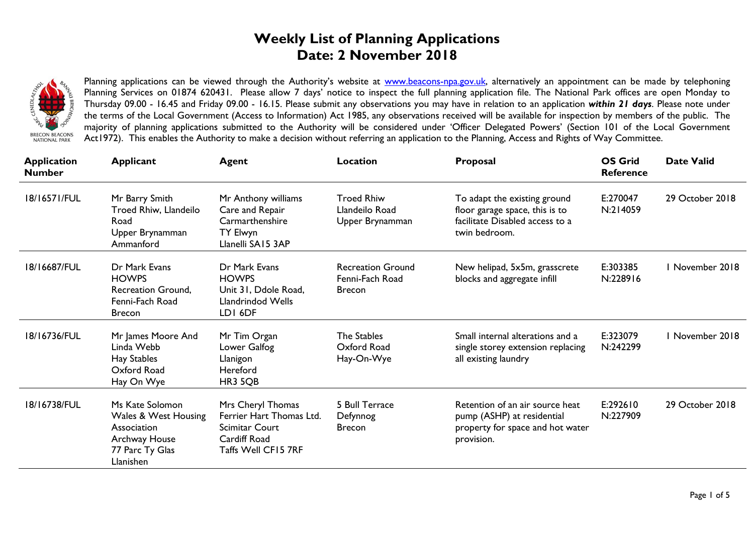## **Weekly List of Planning Applications Date: 2 November 2018**



Planning applications can be viewed through the Authority's website at [www.beacons-npa.gov.uk,](http://www.beacons-npa.gov.uk/) alternatively an appointment can be made by telephoning Planning Services on 01874 620431. Please allow 7 days' notice to inspect the full planning application file. The National Park offices are open Monday to Thursday 09.00 - 16.45 and Friday 09.00 - 16.15. Please submit any observations you may have in relation to an application *within 21 days*. Please note under the terms of the Local Government (Access to Information) Act 1985, any observations received will be available for inspection by members of the public. The majority of planning applications submitted to the Authority will be considered under 'Officer Delegated Powers' (Section 101 of the Local Government Act1972). This enables the Authority to make a decision without referring an application to the Planning, Access and Rights of Way Committee.

| <b>Application</b><br><b>Number</b> | <b>Applicant</b>                                                                                        | Agent                                                                                                         | <b>Location</b>                                              | Proposal                                                                                                           | <b>OS Grid</b><br><b>Reference</b> | <b>Date Valid</b> |
|-------------------------------------|---------------------------------------------------------------------------------------------------------|---------------------------------------------------------------------------------------------------------------|--------------------------------------------------------------|--------------------------------------------------------------------------------------------------------------------|------------------------------------|-------------------|
| 18/16571/FUL                        | Mr Barry Smith<br>Troed Rhiw, Llandeilo<br>Road<br>Upper Brynamman<br>Ammanford                         | Mr Anthony williams<br>Care and Repair<br>Carmarthenshire<br><b>TY Elwyn</b><br>Llanelli SA15 3AP             | <b>Troed Rhiw</b><br>Llandeilo Road<br>Upper Brynamman       | To adapt the existing ground<br>floor garage space, this is to<br>facilitate Disabled access to a<br>twin bedroom. | E:270047<br>N:214059               | 29 October 2018   |
| 18/16687/FUL                        | Dr Mark Evans<br><b>HOWPS</b><br>Recreation Ground,<br>Fenni-Fach Road<br><b>Brecon</b>                 | Dr Mark Evans<br><b>HOWPS</b><br>Unit 31, Ddole Road,<br>Llandrindod Wells<br>LDI 6DF                         | <b>Recreation Ground</b><br>Fenni-Fach Road<br><b>Brecon</b> | New helipad, 5x5m, grasscrete<br>blocks and aggregate infill                                                       | E:303385<br>N:228916               | I November 2018   |
| 18/16736/FUL                        | Mr James Moore And<br>Linda Webb<br>Hay Stables<br>Oxford Road<br>Hay On Wye                            | Mr Tim Organ<br>Lower Galfog<br>Llanigon<br>Hereford<br>HR3 5QB                                               | The Stables<br>Oxford Road<br>Hay-On-Wye                     | Small internal alterations and a<br>single storey extension replacing<br>all existing laundry                      | E:323079<br>N:242299               | I November 2018   |
| 18/16738/FUL                        | Ms Kate Solomon<br>Wales & West Housing<br>Association<br>Archway House<br>77 Parc Ty Glas<br>Llanishen | Mrs Cheryl Thomas<br>Ferrier Hart Thomas Ltd.<br><b>Scimitar Court</b><br>Cardiff Road<br>Taffs Well CF15 7RF | 5 Bull Terrace<br>Defynnog<br><b>Brecon</b>                  | Retention of an air source heat<br>pump (ASHP) at residential<br>property for space and hot water<br>provision.    | E:292610<br>N:227909               | 29 October 2018   |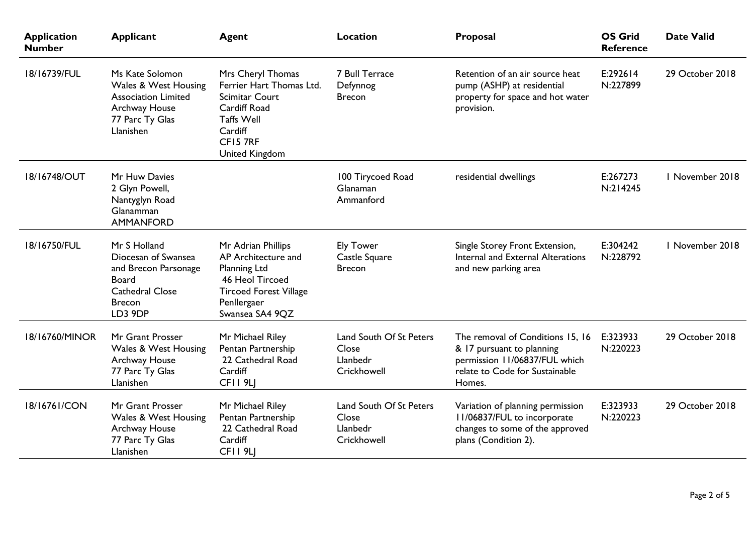| <b>Application</b><br><b>Number</b> | <b>Applicant</b>                                                                                                                  | <b>Agent</b>                                                                                                                                         | Location                                                    | Proposal                                                                                                                                   | <b>OS Grid</b><br><b>Reference</b> | <b>Date Valid</b> |
|-------------------------------------|-----------------------------------------------------------------------------------------------------------------------------------|------------------------------------------------------------------------------------------------------------------------------------------------------|-------------------------------------------------------------|--------------------------------------------------------------------------------------------------------------------------------------------|------------------------------------|-------------------|
| 18/16739/FUL                        | Ms Kate Solomon<br>Wales & West Housing<br><b>Association Limited</b><br>Archway House<br>77 Parc Ty Glas<br>Llanishen            | Mrs Cheryl Thomas<br>Ferrier Hart Thomas Ltd.<br>Scimitar Court<br>Cardiff Road<br><b>Taffs Well</b><br>Cardiff<br>CF15 7RF<br><b>United Kingdom</b> | 7 Bull Terrace<br>Defynnog<br><b>Brecon</b>                 | Retention of an air source heat<br>pump (ASHP) at residential<br>property for space and hot water<br>provision.                            | E:292614<br>N:227899               | 29 October 2018   |
| 18/16748/OUT                        | Mr Huw Davies<br>2 Glyn Powell,<br>Nantyglyn Road<br>Glanamman<br><b>AMMANFORD</b>                                                |                                                                                                                                                      | 100 Tirycoed Road<br>Glanaman<br>Ammanford                  | residential dwellings                                                                                                                      | E:267273<br>N:214245               | I November 2018   |
| 18/16750/FUL                        | Mr S Holland<br>Diocesan of Swansea<br>and Brecon Parsonage<br><b>Board</b><br><b>Cathedral Close</b><br><b>Brecon</b><br>LD3 9DP | Mr Adrian Phillips<br>AP Architecture and<br>Planning Ltd<br>46 Heol Tircoed<br><b>Tircoed Forest Village</b><br>Penllergaer<br>Swansea SA4 9QZ      | <b>Ely Tower</b><br>Castle Square<br><b>Brecon</b>          | Single Storey Front Extension,<br>Internal and External Alterations<br>and new parking area                                                | E:304242<br>N:228792               | I November 2018   |
| 18/16760/MINOR                      | Mr Grant Prosser<br>Wales & West Housing<br>Archway House<br>77 Parc Ty Glas<br>Llanishen                                         | Mr Michael Riley<br>Pentan Partnership<br>22 Cathedral Road<br>Cardiff<br>CFII <sub>9LI</sub>                                                        | Land South Of St Peters<br>Close<br>Llanbedr<br>Crickhowell | The removal of Conditions 15, 16<br>& 17 pursuant to planning<br>permission 11/06837/FUL which<br>relate to Code for Sustainable<br>Homes. | E:323933<br>N:220223               | 29 October 2018   |
| 18/16761/CON                        | Mr Grant Prosser<br>Wales & West Housing<br>Archway House<br>77 Parc Ty Glas<br>Llanishen                                         | Mr Michael Riley<br>Pentan Partnership<br>22 Cathedral Road<br>Cardiff<br>CFII 9LJ                                                                   | Land South Of St Peters<br>Close<br>Llanbedr<br>Crickhowell | Variation of planning permission<br>I I/06837/FUL to incorporate<br>changes to some of the approved<br>plans (Condition 2).                | E:323933<br>N:220223               | 29 October 2018   |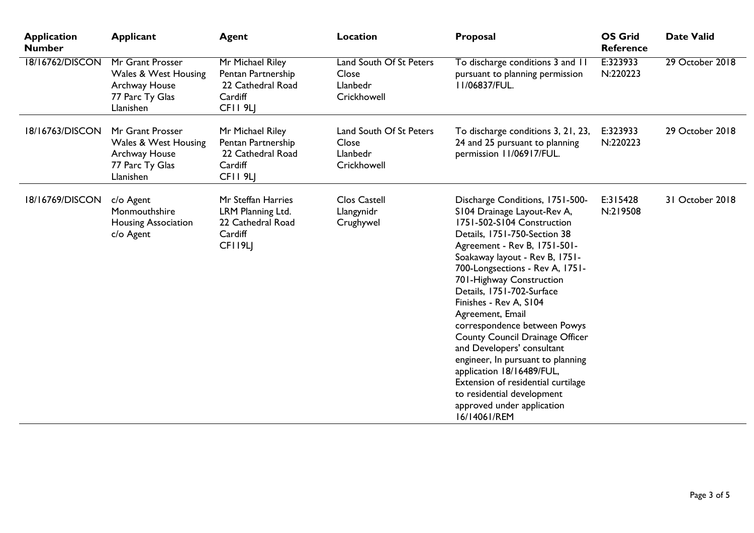| <b>Application</b><br><b>Number</b> | <b>Applicant</b>                                                                                     | <b>Agent</b>                                                                                  | Location                                                    | Proposal                                                                                                                                                                                                                                                                                                                                                                                                                                                                                                                                                                                                                      | <b>OS Grid</b><br><b>Reference</b> | <b>Date Valid</b> |
|-------------------------------------|------------------------------------------------------------------------------------------------------|-----------------------------------------------------------------------------------------------|-------------------------------------------------------------|-------------------------------------------------------------------------------------------------------------------------------------------------------------------------------------------------------------------------------------------------------------------------------------------------------------------------------------------------------------------------------------------------------------------------------------------------------------------------------------------------------------------------------------------------------------------------------------------------------------------------------|------------------------------------|-------------------|
| 18/16762/DISCON                     | Mr Grant Prosser<br><b>Wales &amp; West Housing</b><br>Archway House<br>77 Parc Ty Glas<br>Llanishen | Mr Michael Riley<br>Pentan Partnership<br>22 Cathedral Road<br>Cardiff<br>CFII <sub>9LJ</sub> | Land South Of St Peters<br>Close<br>Llanbedr<br>Crickhowell | To discharge conditions 3 and 11<br>pursuant to planning permission<br>I I/06837/FUL.                                                                                                                                                                                                                                                                                                                                                                                                                                                                                                                                         | E:323933<br>N:220223               | 29 October 2018   |
| 18/16763/DISCON                     | Mr Grant Prosser<br>Wales & West Housing<br>Archway House<br>77 Parc Ty Glas<br>Llanishen            | Mr Michael Riley<br>Pentan Partnership<br>22 Cathedral Road<br>Cardiff<br>CFII <sub>9LJ</sub> | Land South Of St Peters<br>Close<br>Llanbedr<br>Crickhowell | To discharge conditions 3, 21, 23,<br>24 and 25 pursuant to planning<br>permission 11/06917/FUL.                                                                                                                                                                                                                                                                                                                                                                                                                                                                                                                              | E:323933<br>N:220223               | 29 October 2018   |
| 18/16769/DISCON                     | c/o Agent<br>Monmouthshire<br><b>Housing Association</b><br>c/o Agent                                | Mr Steffan Harries<br>LRM Planning Ltd.<br>22 Cathedral Road<br>Cardiff<br>CFI19LJ            | <b>Clos Castell</b><br>Llangynidr<br>Crughywel              | Discharge Conditions, 1751-500-<br>S104 Drainage Layout-Rev A,<br>1751-502-S104 Construction<br>Details, 1751-750-Section 38<br>Agreement - Rev B, 1751-501-<br>Soakaway layout - Rev B, 1751-<br>700-Longsections - Rev A, 1751-<br>701-Highway Construction<br>Details, 1751-702-Surface<br>Finishes - Rev A, S104<br>Agreement, Email<br>correspondence between Powys<br>County Council Drainage Officer<br>and Developers' consultant<br>engineer, In pursuant to planning<br>application 18/16489/FUL,<br>Extension of residential curtilage<br>to residential development<br>approved under application<br>16/14061/REM | E:315428<br>N:219508               | 31 October 2018   |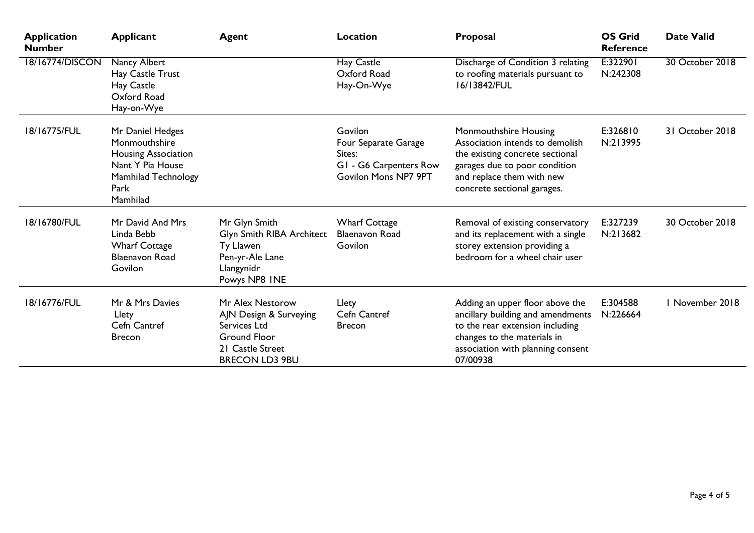| <b>Application</b><br><b>Number</b> | <b>Applicant</b>                                                                                                               | <b>Agent</b>                                                                                                                   | Location                                                                                           | Proposal                                                                                                                                                                                 | <b>OS Grid</b><br><b>Reference</b> | <b>Date Valid</b> |
|-------------------------------------|--------------------------------------------------------------------------------------------------------------------------------|--------------------------------------------------------------------------------------------------------------------------------|----------------------------------------------------------------------------------------------------|------------------------------------------------------------------------------------------------------------------------------------------------------------------------------------------|------------------------------------|-------------------|
| 18/16774/DISCON                     | Nancy Albert<br>Hay Castle Trust<br>Hay Castle<br>Oxford Road<br>Hay-on-Wye                                                    |                                                                                                                                | Hay Castle<br>Oxford Road<br>Hay-On-Wye                                                            | Discharge of Condition 3 relating<br>to roofing materials pursuant to<br>16/13842/FUL                                                                                                    | E:322901<br>N:242308               | 30 October 2018   |
| 18/16775/FUL                        | Mr Daniel Hedges<br>Monmouthshire<br><b>Housing Association</b><br>Nant Y Pia House<br>Mamhilad Technology<br>Park<br>Mamhilad |                                                                                                                                | Govilon<br>Four Separate Garage<br>Sites:<br>G1 - G6 Carpenters Row<br><b>Govilon Mons NP7 9PT</b> | Monmouthshire Housing<br>Association intends to demolish<br>the existing concrete sectional<br>garages due to poor condition<br>and replace them with new<br>concrete sectional garages. | E:326810<br>N:213995               | 31 October 2018   |
| 18/16780/FUL                        | Mr David And Mrs<br>Linda Bebb<br><b>Wharf Cottage</b><br><b>Blaenavon Road</b><br>Govilon                                     | Mr Glyn Smith<br>Glyn Smith RIBA Architect<br>Ty Llawen<br>Pen-yr-Ale Lane<br>Llangynidr<br>Powys NP8 INE                      | <b>Wharf Cottage</b><br><b>Blaenavon Road</b><br>Govilon                                           | Removal of existing conservatory<br>and its replacement with a single<br>storey extension providing a<br>bedroom for a wheel chair user                                                  | E:327239<br>N:213682               | 30 October 2018   |
| 18/16776/FUL                        | Mr & Mrs Davies<br>Llety<br>Cefn Cantref<br><b>Brecon</b>                                                                      | Mr Alex Nestorow<br>AJN Design & Surveying<br>Services Ltd<br><b>Ground Floor</b><br>21 Castle Street<br><b>BRECON LD3 9BU</b> | Llety<br>Cefn Cantref<br><b>Brecon</b>                                                             | Adding an upper floor above the<br>ancillary building and amendments<br>to the rear extension including<br>changes to the materials in<br>association with planning consent<br>07/00938  | E:304588<br>N:226664               | I November 2018   |